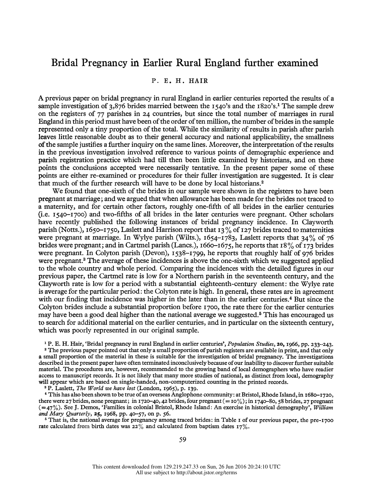# Bridal Pregnancy in Earlier Rural England further examined

## P. E. H. HAIR

 A previous paper on bridal pregnancy in rural England in earlier centuries reported the results of a sample investigation of 3,876 brides married between the 1540's and the 1820's.<sup>1</sup> The sample drew on the registers of 77 parishes in 24 countries, but since the total number of marriages in rural England in this period must have been of the order of ten million, the number of brides in the sample represented only a tiny proportion of the total. While the similarity of results in parish after parish leaves little reasonable doubt as to their general accuracy and national applicability, the smallness of the sample justifies a further inquiry on the same lines. Moreover, the interpretation of the results in the previous investigation involved reference to various points of demographic experience and parish registration practice which had till then been little examined by historians, and on these points the conclusions accepted were necessarily tentative. In the present paper some of these points are either re-examined or procedures for their fuller investigation are suggested. It is clear that much of the further research will have to be done by local historians.<sup>2</sup>

 We found that one-sixth of the brides in our sample were shown in the registers to have been pregnant at marriage; and we argued that when allowance has been made for the brides not traced to a maternity, and for certain other factors, roughly one-fifth of all brides in the earlier centuries (i.e. I540-I700) and two-fifths of all brides in the later centuries were pregnant. Other scholars have recently published the following instances of bridal pregnancy incidence. In Clayworth parish (Notts.), I650-I750, Laslett and Harrison report that I3 % of I27 brides traced to maternities were pregnant at marriage. In Wylye parish (Wilts.), 1654-1783, Laslett reports that 34% of 76 brides were pregnant; and in Cartmel parish (Lancs.),  $1660-1675$ , he reports that  $18\%$  of 173 brides were pregnant. In Colyton parish (Devon), I538-I799, he reports that roughly half of 976 brides were pregnant.<sup>3</sup> The average of these incidences is above the one-sixth which we suggested applied to the whole country and whole period. Comparing the incidences with the detailed figures in our previous paper, the Cartmel rate is low for a Northern parish in the seventeenth century, and the Clayworth rate is low for a period with a substantial eighteenth-century element: the Wylye rate is average for the particular period: the Colyton rate is high. In general, these rates are in agreement with our finding that incidence was higher in the later than in the earlier centuries.<sup>4</sup> But since the Colyton brides include a substantial proportion before I700, the rate there for the earlier centuries may have been a good deal higher than the national average we suggested.<sup>5</sup> This has encouraged us to search for additional material on the earlier centuries, and in particular on the sixteenth century, which was poorly represented in our original sample.

<sup>1</sup> P. E. H. Hair, 'Bridal pregnancy in rural England in earlier centuries', Population Studies, 20, 1966, pp. 233-243.

<sup>2</sup> The previous paper pointed out that only a small proportion of parish registers are available in print, and that only a small proportion of the material in these is suitable for the investigation of bridal pregnancy. The investigations described in the present paper have often terminated inconclusively because of our inability to discover further suitable material. The procedures are, however, recommended to the growing band of local demographers who have readier access to manuscript records. It is not likely that many more studies of national, as distinct from local, demography will appear which are based on single-handed, non-computerized counting in the printed records.

3 P. Laslett, The World we have lost (London, I965), p. I39.

 4 This has also been shown to be true of an overseas Anglophone community: at Bristol, Rhode Island, in I680-I720, there were 27 brides, none pregnant; in 1720–40, 42 brides, four pregnant (= 10%); in 1740–80, 58 brides, 27 pregnant  $(=47\%)$ . See J. Demos, 'Families in colonial Bristol, Rhode Island: An exercise in historical demography', William and Mary Quarterly, 25, 1968, pp. 40-57, on p. 56.

<sup>5</sup> That is, the national average for pregnancy among traced brides: in Table I of our previous paper, the pre-1700 rate calculated from birth dates was  $22\%$  and calculated from baptism dates  $17\%.$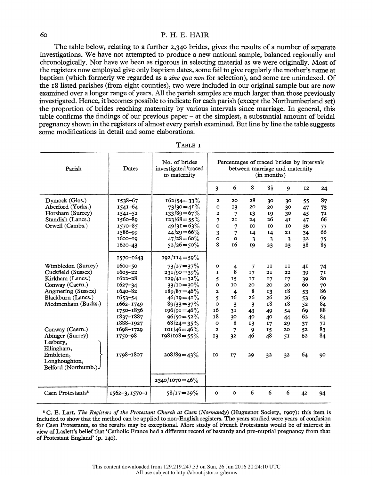# 6o P. H. E. HAIR

 The table below, relating to a further 2,340 brides, gives the results of a number of separate investigations. We have not attempted to produce a new national sample, balanced regionally and chronologically. Nor have we been as rigorous in selecting material as we were originally. Most of the registers now employed give only baptism dates, some fail to give regularly the mother's name at baptism (which formerly we regarded as a *sine qua non* for selection), and some are unindexed. Of the i8 listed parishes (from eight counties), two were included in our original sample but are now examined over a longer range of years. All the parish samples are much larger than those previously investigated. Hence, it becomes possible to indicate for each parish (except the Northumberland set) the proportion of brides reaching maternity by various intervals since marriage. In general, this table confirms the findings of our previous paper - at the simplest, a substantial amount of bridal pregnancy shown in the registers of almost every parish examined. But line by line the table suggests some modifications in detail and some elaborations.

| Parish                                            | Dates                      | No. of brides<br>investigated/traced<br>to maternity | Percentages of traced brides by intervals<br>between marriage and maternity<br>(in months) |                         |                         |                         |           |          |          |
|---------------------------------------------------|----------------------------|------------------------------------------------------|--------------------------------------------------------------------------------------------|-------------------------|-------------------------|-------------------------|-----------|----------|----------|
|                                                   |                            |                                                      | 3                                                                                          | 6                       | 8                       | $8\frac{1}{2}$          | 9         | 12       | 24       |
| Dymock (Glos.)<br>Aberford (Yorks.)               | 1538-67<br>$1541 - 64$     | $162/54 = 33\%$<br>$73/30 = 41\%$                    | $\mathbf{z}$<br>$\circ$                                                                    | 20<br>13                | 28<br>20                | 30<br>20                | 30<br>30  | 55<br>47 | 87<br>73 |
| Horsham (Surrey)                                  | $154I - 52$                | $133/89 = 67%$                                       | $\mathbf{z}$                                                                               | $\mathbf{7}$            | 13                      | 19                      | 30        | 45       | 71       |
| Standish (Lancs.)                                 | 1560-89                    | $123/68 = 55\%$                                      | 7                                                                                          | 2I                      | 24                      | 26                      | 41        | 47       | 66       |
| Orwell (Cambs.)                                   | $1570 - 85$                | $49/31 = 63\%$                                       | $\circ$                                                                                    | 7                       | IO                      | IO.                     | 10        | 36       | 77       |
|                                                   | 1586-99                    | $44/29 = 66\%$                                       | 3                                                                                          | 7                       | 14                      | 14                      | 2I        | 34       | 66       |
|                                                   | $1600 - 19$<br>$1620 - 43$ | $47/28 = 60\%$<br>$52/26 = 50\%$                     | $\circ$<br>8                                                                               | $\circ$<br>16           | 3                       | $\overline{\mathbf{3}}$ | 3         | 32<br>38 | 75<br>85 |
|                                                   |                            |                                                      |                                                                                            |                         | 19                      | 23                      | 23        |          |          |
|                                                   | 1570-1643                  | $192/114 = 59\%$                                     |                                                                                            |                         |                         |                         |           |          |          |
| Wimbledon (Surrey)                                | 1600-50                    | $73/27 = 37\%$                                       | $\circ$                                                                                    | 4                       | $\overline{7}$          | IJ                      | 11        | 41       | 74       |
| Cuckfield (Sussex)                                | $1605 - 22$                | $23I/90 = 39\%$                                      | $\mathbf{I}$                                                                               | 8                       | 17                      | 2I                      | 22        | 39       | 71       |
| Kirkham (Lancs.)                                  | $1622 - 28$                | $129/41 = 32\%$                                      | 5                                                                                          | 15                      | 17                      | 17                      | 17        | 39       | 80       |
| Conway (Caern.)                                   | $1627 - 34$                | $33/10 = 30\%$                                       | $\circ$                                                                                    | <b>IO</b>               | 20                      | 20                      | 20        | 60       | 70       |
| <b>Angmering (Sussex)</b>                         | 1640-82                    | $189/87 = 46\%$                                      | $\mathbf{z}$                                                                               | $\overline{4}$          | 8                       | 13                      | 18        | 53       | 86       |
| Blackburn (Lancs.)                                | $1653 - 54$                | $46/19=41\%$                                         | 5                                                                                          | 16                      | 26                      | 26                      | 26        | 53       | 69       |
| Medmenham (Bucks.)                                | 1662-1749                  | $89/33 = 37\%$                                       | $\circ$                                                                                    | $\overline{\mathbf{3}}$ | $\overline{\mathbf{3}}$ | 18                      | <b>18</b> | 52       | 84       |
|                                                   | 1750-1836                  | $196/91 = 46\%$                                      | 16                                                                                         | 3 <sub>1</sub>          | 43                      | 49                      | 54        | 69       | 88       |
|                                                   | $1837 - 1887$              | $96/50 = 52\%$                                       | 18                                                                                         | 30                      | 40                      | 40                      | 44        | 62       | 84       |
|                                                   | 1888-1927                  | $68/24 = 35%$                                        | $\circ$                                                                                    | 8                       | 13                      | 17                      | 29        | 37       | 71       |
| Conway (Caern.)                                   | 1698-1729                  | $101/46 = 46\%$                                      | $\mathbf{z}$                                                                               | 7                       | 9                       | 15                      | 20        | 52       | 83       |
| Abinger (Surrey)<br>Lesbury,<br>Ellingham,        | 1750-98                    | $198/108 = 55\%$                                     | 13                                                                                         | 32                      | 46                      | 48                      | 51        | 62       | 84       |
| Embleton,<br>Longhoughton,<br>Belford (Northumb.) | 1798-1807                  | $208/89 = 43\%$                                      | 10                                                                                         | 17                      | 29                      | 32                      | 32        | 64       | 90       |
|                                                   |                            | $2340/1070 = 46\%$                                   |                                                                                            |                         |                         |                         |           |          |          |
| Caen Protestants <sup>6</sup>                     | 1562-3, 1570-1             | $58/17 = 29\%$                                       | $\circ$                                                                                    | $\circ$                 | 6                       | 6                       | 6         | 42       | 94       |
|                                                   |                            |                                                      |                                                                                            |                         |                         |                         |           |          |          |

TABLE I

<sup>6</sup> C. E. Lart, The Registers of the Protestant Church at Caen (Normandy) (Huguenot Society, 1907): this item is included to show that the method can be applied to non-English registers. The years studied were years of confusion for Caen Protestants, so the results may be exceptional. More study of French Protestants would be of interest in view of Laslett's belief that 'Catholic France had a different record of bastardy and pre-nuptial pregnancy from that of Protestant England' (p. I40).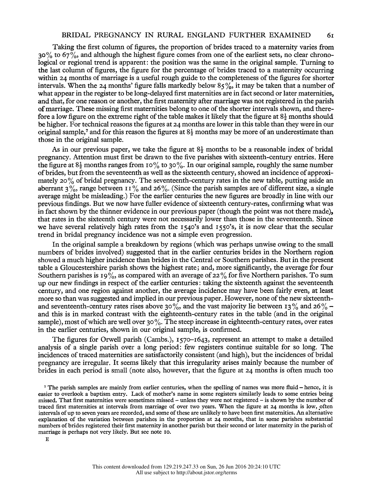## BRIDAL PREGNANCY IN RURAL ENGLAND FURTHER EXAMINED 61

 Taking the first column of figures, the proportion of brides traced to a maternity varies from  $30\%$  to 67%, and although the highest figure comes from one of the earliest sets, no clear chrono logical or regional trend is apparent: the position was the same in the original sample. Turning to the last column of figures, the figure for the percentage of brides traced to a maternity occurring within 24 months of marriage is a useful rough guide to the completeness of the figures for shorter intervals. When the 24 months' figure falls markedly below  $85\%$ , it may be taken that a number of what appear in the register to be long-delayed first maternities are in fact second or later maternities, and that, for one reason or another, the first maternity after marriage was not registered in the parish of marriage. These missing first maternities belong to one of the shorter intervals shown, and there fore a low figure on the extreme right of the table makes it likely that the figure at  $8\frac{1}{2}$  months should be higher. For technical reasons the figures at 24 months are lower in this table than they were in our original sample,<sup>7</sup> and for this reason the figures at  $8\frac{1}{2}$  months may be more of an underestimate than those in the original sample.

As in our previous paper, we take the figure at  $8\frac{1}{2}$  months to be a reasonable index of bridal pregnancy. Attention must first be drawn to the five parishes with sixteenth-century entries. Here the figure at  $8\frac{1}{2}$  months ranges from 10% to 30%. In our original sample, roughly the same number of brides, but from the seventeenth as well as the sixteenth century, showed an incidence of approxi mately 20 % of bridal pregnancy. The seventeenth-century rates in the new table, putting aside an aberrant 3%, range between 11% and 26%. (Since the parish samples are of different size, a single average might be misleading.) For the earlier centuries the new figures are broadly in line with our previous findings. But we now have fuller evidence of sixteenth century-rates, confirming what was in fact shown by the thinner evidence in our previous paper (though the point was not there made), that rates in the sixteenth century were not necessarily lower than those in the seventeenth. Since we have several relatively high rates from the 1540's and 1550's, it is now clear that the secular trend in bridal pregnancy incidence was not a simple even progression.

 In the original sample a breakdown by regions (which was perhaps unwise owing to the small numbers of brides involved) suggested that in the earlier centuries brides in the Northern region showed a much higher incidence than brides in the Central or Southern parishes. But in the present table a Gloucestershire parish shows the highest rate; and, more significantly, the average for four Southern parishes is 19%, as compared with an average of 22% for five Northern parishes. To sum up our new findings in respect of the earlier centuries: taking the sixteenth against the seventeenth century, and one region against another, the average incidence may have been fairly even, at least more so than was suggested and implied in our previous paper. However, none of the new sixteenth and seventeenth-century rates rises above 30%, and the vast majority lie between 13% and 26% and this is in marked contrast with the eighteenth-century rates in the table (and in the original sample), most of which are well over  $30\%$ . The steep increase in eighteenth-century rates, over rates in the earlier centuries, shown in our original sample, is confirmed.

 The figures for Orwell parish (Cambs.), I570-i643, represent an attempt to make a detailed analysis of a single parish over a long period: few registers continue suitable for so long. The incidences of traced maternities are satisfactorily consistent (and high), but the incidences of bridal pregnancy are irregular. It seems likely that this irregularity arises mainly because the number of brides in each period is small (note also, however, that the figure at 24 months is often much too

<sup>&</sup>lt;sup>7</sup> The parish samples are mainly from earlier centuries, when the spelling of names was more fluid – hence, it is easier to overlook a baptism entry. Lack of mother's name in some registers similarly leads to some entries being missed. That first maternities were sometimes missed – unless they were not registered – is shown by the number of traced first maternities at intervals from marriage of over two years. When the figure at 24 months is low, often intervals of up to seven years are recorded, and some of these are unlikely to have been first matemities. An alternative explanation of the variation between parishes in the proportion at 24 months, that in some parishes substantial numbers of brides registered their first maternity in another parish but their second or later maternity in the parish of marriage is perhaps not very likely. But see note IO.

E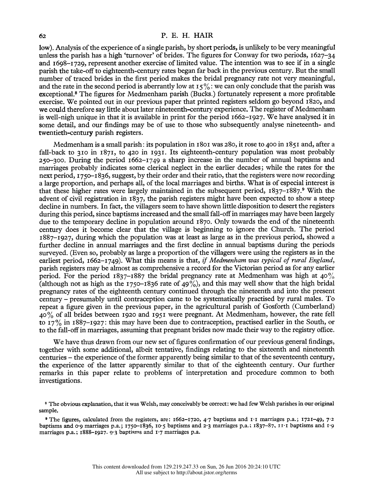low). Analysis of the experience of a single parish, by short periods, is unlikely to be very meaningful unless the parish has a high 'turnover' of brides. The figures for Conway for two periods, I627-34 and I698-I729, represent another exercise of limited value. The intention was to see if in a single parish the take-off to eighteenth-century rates began far back in the previous century. But the small number of traced brides in the first period makes the bridal pregnancy rate not very meaningful, and the rate in the second period is aberrantly low at  $15\%$ : we can only conclude that the parish was exceptional.8 The figures for Medmenham parish (Bucks.) fortunately represent a more profitable exercise. We pointed out in our previous paper that printed registers seldom go beyond I820, and we could therefore say little about later nineteenth-century experience. The register of Medmenham is well-nigh unique in that it is available in print for the period I662-I927. We have analysed it in some detail, and our findings may be of use to those who subsequently analyse nineteenth- and twentieth-century parish registers.

Medmenham is a small parish: its population in 1801 was 280, it rose to 400 in 1851 and, after a fall-back to 3I0 in I87I, to 420 in I93I. Its eighteenth-century population was most probably 250-300. During the period I662-I749 a sharp increase in the number of annual baptisms and marriages probably indicates some clerical neglect in the earlier decades; while the rates for the next period, 1750- 836, suggest, by their order and their ratio, that the registers were now recording a large proportion, and perhaps all, of the local marriages and births. What is of especial interest is that these higher rates were largely maintained in the subsequent period, I837-I887.9 With the advent of civil registration in I837, the parish registers might have been expected to show a steep decline in numbers. In fact, the villagers seem to have shown little disposition to desert the registers during this period, since baptisms increased and the small fall-off in marriages may have been largely due to the temporary decline in population around I870. Only towards the end of the nineteenth century does it become clear that the village is beginning to ignore the Church. The period I887-I927, during which the population was at least as large as in the previous period, showed a further decline in annual marriages and the first decline in annual baptisms during the periods surveyed. (Even so, probably as large a proportion of the villagers were using the registers as in the earliest period,  $1662-1749$ . What this means is that, if Medmenham was typical of rural England, parish registers may be almost as comprehensive a record for the Victorian period as for any earlier period. For the period  $1837-1887$  the bridal pregnancy rate at Medmenham was high at  $40\%$ (although not as high as the  $1750 - 1836$  rate of  $49\%$ ), and this may well show that the high bridal pregnancy rates of the eighteenth century continued through the nineteenth and into the present century - presumably until contraception came to be systematically practised by rural males. To repeat a figure given in the previous paper, in the agricultural parish of Gosforth (Cumberland) 40% of all brides between I920 and I95I were pregnant. At Medmenham, however, the rate fell to I7% in I887-I927: this may have been due to contraception, practised earlier in the South, or to the fall-off in marriages, assuming that pregnant brides now made their way to the registry office.

We have thus drawn from our new set of figures confirmation of our previous general findings, together with some additional, albeit tentative, findings relating to the sixteenth and nineteenth centuries - the experience of the former apparently being similar to that of the seventeenth century, the experience of the latter apparently similar to that of the eighteenth century. Our further remarks in this paper relate to problems of interpretation and procedure common to both investigations.

 <sup>8</sup> The obvious explanation, that it was Welsh, may conceivably be correct: we had few Welsh parishes in our original sample.

<sup>&</sup>lt;sup>9</sup> The figures, calculated from the registers, are: 1662-1720, 4.7 baptisms and 1.1 marriages p.a.; 1721-49, 7.2 baptisms and 0.9 marriages p.a.; 1750-1836, 10.5 baptisms and 2.3 marriages p.a.; 1837-87, II.I baptisms and I.9 marriages p.a.;  $1888 - 1927$ , 9.3 baptisms and  $1.7$  marriages p.a.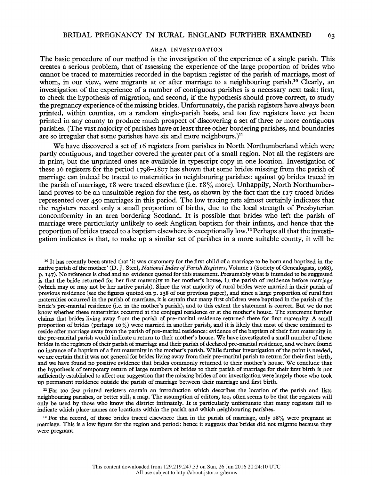#### AREA INVESTIGATION

 The basic procedure of our method is the investigation of the experience of a single parish. This creates a serious problem, that of assessing the experience of the large proportion of brides who cannot be traced to maternities recorded in the baptism register of the parish of marriage, most of whom, in our view, were migrants at or after marriage to a neighbouring parish.<sup>10</sup> Clearly, an investigation of the experience of a number of contiguous parishes is a necessary next task: first, to check the hypothesis of migration, and second, if the hypothesis should prove correct, to study the pregnancy experience of the missing brides. Unfortunately, the parish registers have always been printed, within counties, on a random single-parish basis, and too few registers have yet been printed in any county to produce much prospect of discovering a set of three or more contiguous parishes. (The vast majority of parishes have at least three other bordering parishes, and boundaries are so irregular that some parishes have six and more neighbours.)"

We have discovered a set of 16 registers from parishes in North Northumberland which were partly contiguous, and together covered the greater part of a small region. Not all the registers are in print, but the unprinted ones are available in typescript copy in one location. Investigation of these I6 registers for the period I798-I807 has shown that some brides missing from the parish of marriage can indeed be traced to maternities in neighbouring parishes: against 99 brides traced in the parish of marriage, 18 were traced elsewhere (i.e.  $18\%$  more). Unhappily, North Northumberland proves to be an unsuitable region for the test, as shown by the fact that the 117 traced brides represented over 450 marriages in this period. The low tracing rate almost certainly indicates that the registers record only a small proportion of births, due to the local strength of Presbyterian nonconformity in an area bordering Scotland. It is possible that brides who left the parish of marriage were particularly unlikely to seek Anglican baptism for their infants, and hence that the proportion of brides traced to a baptism elsewhere is exceptionally low.'2 Perhaps all that the investi gation indicates is that, to make up a similar set of parishes in a more suitable county, it will be

<sup>10</sup> It has recently been stated that 'it was customary for the first child of a marriage to be born and baptized in the native parish of the mother' (D. J. Steel, National Index of Parish Registers, Volume I (Society of Genealogists, 1968), p. I47). No reference is cited and no evidence quoted for this statement. Presumably what is intended to be suggested is that the bride returned for her first maternity to her mother's house, in the parish of residence before marriage (which may or may not be her native parish). Since the vast majority of rural brides were married in their parish of previous residence (see the figures quoted on p. 238 of our previous paper), and since a large proportion of rural first maternities occurred in the parish of marriage, it is certain that many first children were baptized in the parish of the bride's pre-marital residence (i.e. in the mother's parish), and to this extent the statement is correct. But we do not know whether these maternities occurred at the conjugal residence or at the mother's house. The statement further claims that brides living away from the parish of pre-marital residence returned there for first maternity. A small proportion of brides (perhaps  $10\%$ ) were married in another parish, and it is likely that most of these continued to reside after marriage away from the parish of pre-marital residence: evidence of the baptism of their first maternity in the pre-marital parish would indicate a return to their mother's house. We have investigated a small number of these brides in the registers of their parish of marriage and their parish of declared pre-marital residence, and we have found no instance of a baptism of a first maternity in the mother's parish. While further investigation of the point is needed, we are certain that it was not general for brides living away from their pre-marital parish to return for their first birth, and we have found no positive evidence that brides commonly returned to their mother's house. We conclude that the hypothesis of temporary return of large numbers of brides to their parish of marriage for their first birth is not sufficiently established to affect our suggestion that the missing brides of our investigation were largely those who took up permanent residence outside the parish of marriage between their marriage and first birth.

 1t Far too few printed registers contain an introduction which describes the location of the parish and lists neighbouring parishes, or better still, a map. The assumption of editors, too, often seems to be that the registers will only be used by those who know the district intimately. It is particularly unfortunate that many registers fail to indicate which place-names are locations within the parish and which neighbouring parishes.

<sup>12</sup> For the record, of those brides traced elsewhere than in the parish of marriage, only 28% were pregnant at marriage. This is a low figure for the region and period: hence it suggests that brides did not migrate because they were pregnant.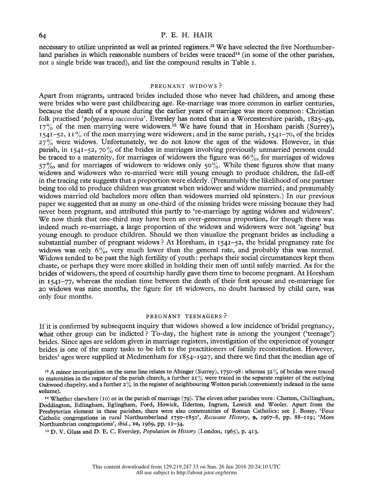# 64 P. E. H. HAIR

 necessary to utilize unprinted as well as printed registers.'3 We have selected the five Northumber land parishes in which reasonable numbers of brides were traced<sup>14</sup> (in some of the other parishes, not a single bride was traced), and list the compound results in Table i.

#### PREGNANT WIDOWS?

 Apart from migrants, untraced brides included those who never had children, and among these were brides who were past childbearing age. Re-marriage was more common in earlier centuries, because the death of a spouse during the earlier years of marriage was more common: Christian folk practised 'polygamia successiva'. Eversley has noted that in a Worcestershire parish, 1825-49,  $17\%$  of the men marrying were widowers.<sup>15</sup> We have found that in Horsham parish (Surrey),  $1541-52$ ,  $11\%$  of the men marrying were widowers; and in the same parish,  $1541-70$ , of the brides  $27\%$  were widows. Unfortunately, we do not know the ages of the widows. However, in this parish, in  $1541-52$ ,  $70\%$  of the brides in marriages involving previously unmarried persons could be traced to a maternity, for marriages of widowers the figure was  $66\%$ , for marriages of widows 57%, and for marriages of widowers to widows only 50%. While these figures show that many widows and widowers who re-married were still young enough to produce children, the fall-off in the tracing rate suggests that a proportion were elderly. (Presumably the likelihood of one partner being too old to produce children was greatest when widower and widow married; and presumably widows married old bachelors more often than widowers married old spinsters.) In our previous paper we suggested that as many as one-third of the missing brides were missing because they had never been pregnant, and attributed this partly to 're-marriage by ageing widows and widowers'. We now think that one-third may have been an over-generous proportion, for though there was indeed much re-marriage, a large proportion of the widows and widowers were not 'ageing' but young enough to produce children. Should we then visualize the pregnant brides as including a substantial number of pregnant widows? At Horsham, in 1541-52, the bridal pregnancy rate for widows was only  $6\%$ , very much lower than the general rate, and probably this was normal. Widows tended to be past the high fertility of youth: perhaps their social circumstances kept them chaste, or perhaps they were more skilled in holding their men off until safely married. As for the brides of widowers, the speed of courtship hardly gave them time to become pregnant. At Horsham in  $1541-77$ , whereas the median time between the death of their first spouse and re-marriage for 20 widows was nine months, the figure for i6 widowers, no doubt harassed by child care, was only four months.

#### PREGNANT TEENAGERS?

 If it is confirmed by subsequent inquiry that widows showed a low incidence of bridal pregnancy, what other group can be indicted? To-day, the highest rate is among the youngest ('teenage') brides. Since ages are seldom given in marriage registers, investigation of the experience of younger brides is one of the many tasks to be left to the practitioners of family reconstitution. However, brides' ages were supplied at Medmenham for I854-1927, and there we find that the median age of

 13 A minor investigation on the same line relates to Abinger (Surrey), I750-98: whereas 32% of brides were traced to maternities in the register of the parish church, a further  $21\%$  were traced in the separate register of the outlying Oakwood chapelry, and a further 2% in the register of neighbouring Wotton parish (conveniently indexed in the same volume).

 14 Whether elsewhere (io) or in the parish of marriage (79). The eleven other parishes were: Chatton, Chillingham, Doddington, Edlingham, Eglingham, Ford, Howick, Ilderton, Ingram, Lowick and Wooler. Apart from the Presbyterian element in these parishes, there were also communities of Roman Catholics: see J. Bossy, 'Four Catholic congregations in rural Northumberland 1750-1850', Recusant History, 9, 1967-8, pp. 88-119; 'More Northumbrian congregations', ibid., I0, I969, pp. II-34.

<sup>15</sup> D. V. Glass and D. E. C. Eversley, *Population in History* (London, 1965), p. 413.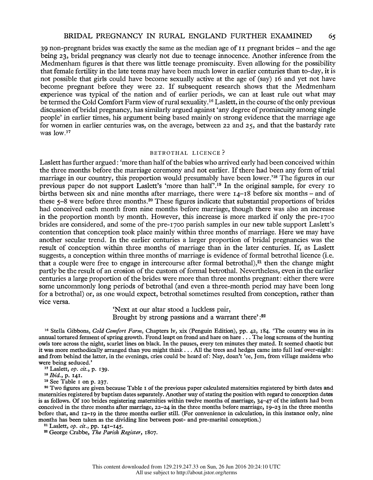39 non-pregnant brides was exactly the same as the median age of i i pregnant brides - and the age being 23, bridal pregnancy was clearly not due to teenage innocence. Another inference from the Medmenham figures is that there was little teenage promiscuity. Even allowing for the possibility that female fertility in the late teens may have been much lower in earlier centuries than to-day, it is not possible that girls could have become sexually active at the age of (say) i6 and yet not have become pregnant before they were 22. If subsequent research shows that the Medmenham experience was typical of the nation and of earlier periods, we can at least rule out what may be termed the Cold Comfort Farm view of rural sexuality.<sup>16</sup> Laslett, in the course of the only previous discussion of bridal pregnancy, has similarly argued against 'any degree of promiscuity among single people' in earlier times, his argument being based mainly on strong evidence that the marriage age for women in earlier centuries was, on the average, between 22 and 25, and that the bastardy rate was low.17

#### BETROTHAL LICENCE ?

 Laslett has further argued: 'more than half of the babies who arrived early had been conceived within the three months before the marriage ceremony and not earlier. If there had been any form of trial marriage in our country, this proportion would presumably have been lower.<sup>18</sup> The figures in our previous paper do not support Laslett's 'more than half'.<sup>19</sup> In the original sample, for every 10 births between six and nine months after marriage, there were  $I_4$ – $I_8$  before six months – and of these 5-8 were before three months.<sup>20</sup> These figures indicate that substantial proportions of brides had conceived each month from nine months before marriage, though there was also an increase in the proportion month by month. However, this increase is more marked if only the pre-1700 brides are considered, and some of the pre-1700 parish samples in our new table support Laslett's contention that conception took place mainly within three months of marriage. Here we may have another secular trend. In the earlier centuries a larger proportion of bridal pregnancies was the result of conception within three months of marriage than in the later centuries. If, as Laslett suggests, a conception within three months of marriage is evidence of formal betrothal licence (i.e. that a couple were free to engage in intercourse after formal betrothal), $^{21}$  then the change might partly be the result of an erosion of the custom of formal betrothal. Nevertheless, even in the earlier centuries a large proportion of the brides were more than three months pregnant: either there were some uncommonly long periods of betrothal (and even a three-month period may have been long for a betrothal) or, as one would expect, betrothal sometimes resulted from conception, rather than vice versa.

> 'Next at our altar stood a luckless pair, Brought by strong passions and a warrant there':<sup>22</sup>

<sup>16</sup> Stella Gibbons, Cold Comfort Farm, Chapters lv, xix (Penguin Edition), pp. 42, 184. 'The country was in its annual tortured ferment of spring growth. Frond leapt on frond and hare on hare ... The long screams of the hunting owls tore across the night, scarlet lines on black. In the pauses, every ten minutes they mated. It seemed chaotic but it was more methodically arranged than you might think ... All the trees and hedges came into full leaf over-night: and from behind the latter, in the evenings, cries could be heard of: Nay, doan't 'ee, Jem, from village maidens who were being seduced.'

17 Laslett, op. cit., p. 139.

18 Ibid., p. I4I.

19 See Table I on p. 237.

 20 Two figures are given because Table i of the previous paper calculated maternities registered by birth dates and maternities registered by baptism dates separately. Another way of stating the position with regard to conception dates is as follows. Of 100 brides registering maternities within twelve months of marriage, 34-47 of the infants had been conceived in the three months after marriage, 22-24 in the three months before marriage, I9-23 in the three months before that, and I2-I9 in the three months earlier still. (For convenience in calculation, in this instance only, nine months has been taken as the dividing line between post- and pre-marital conception.)

<sup>21</sup> Laslett, op. cit., pp. 141-145.

<sup>22</sup> George Crabbe, The Parish Register, 1807.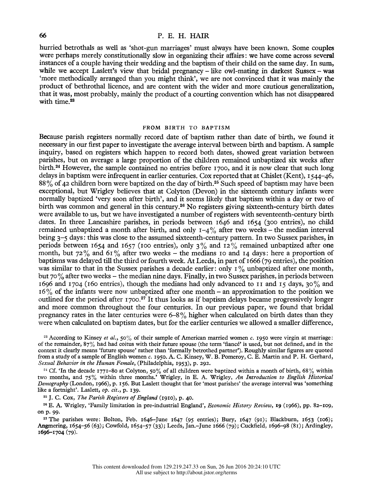hurried betrothals as well as 'shot-gun marriages' must always have been known. Some couples were perhaps merely constitutionally slow in organizing their affairs: we have come across several instances of a couple having their wedding and the baptism of their child on the same day. In sum, while we accept Laslett's view that bridal pregnancy – like owl-mating in darkest Sussex – was 'more methodically arranged than you might think', we are not convinced that it was mainly the product of bethrothal licence, and are content with the wider and more cautious generalization, that it was, most probably, mainly the product of a courting convention which has not disappeared with time.<sup>23</sup>

#### FROM BIRTH TO BAPTISM

 Because parish registers normally record date of baptism rather than date of birth, we found it necessary in our first paper to investigate the average interval between birth and baptism. A sample inquiry, based on registers which happen to record both dates, showed great variation between parishes, but on average a large proportion of the children remained unbaptized six weeks after birth.<sup>24</sup> However, the sample contained no entries before 1700, and it is now clear that such long delays in baptism were infrequent in earlier centuries. Cox reported that at Chislet (Kent), I544-46, 88% of 42 children born were baptized on the day of birth.<sup>25</sup> Such speed of baptism may have been exceptional, but Wrigley believes that at Colyton (Devon) in the sixteenth century infants were normally baptized 'very soon after birth', and it seems likely that baptism within a day or two of birth was common and general in this century.<sup>26</sup> No registers giving sixteenth-century birth dates were available to us, but we have investigated a number of registers with seventeenth-century birth dates. In three Lancashire parishes, in periods between i646 and I654 (300 entries), no child remained unbaptized a month after birth, and only  $I-4\%$  after two weeks - the median interval being 3-5 days: this was close to the assumed sixteenth-century pattern. In two Sussex parishes, in periods between 1654 and 1657 (100 entries), only  $3\%$  and 12% remained unbaptized after one month, but 72% and 61% after two weeks - the medians 10 and 14 days: here a proportion of baptisms was delayed till the third or fourth week. At Leeds, in part of I666 (79 entries), the position was similar to that in the Sussex parishes a decade earlier: only  $1\%$  unbaptized after one month, but 70% after two weeks - the median nine days. Finally, in two Sussex parishes, in periods between 1696 and 1704 (160 entries), though the medians had only advanced to 11 and 15 days,  $30\%$  and  $16\%$  of the infants were now unbaptized after one month – an approximation to the position we outlined for the period after  $1700$ .<sup>27</sup> It thus looks as if baptism delays became progressively longer and more common throughout the four centuries. In our previous paper, we found that bridal pregnancy rates in the later centuries were  $6-8\%$  higher when calculated on birth dates than they were when calculated on baptism dates, but for the earlier centuries we allowed a smaller difference,

<sup>23</sup> According to Kinsey et al., 50% of their sample of American married women c. 1950 were virgin at marriage: of the remainder, 87% had had coitus with their future spouse (the term 'fiance' is used, but not defined, and in the context it clearly means 'future spouse' rather than 'formally betrothed partner'). Roughly similar figures are quoted from a study of a sample of English women c. I950. A. C. Kinsey, W. B. Pomeroy, C. E. Martin and P. H. Gerhard, Sexual Behavior in the Human Female, (Philadelphia, I953), p. 292.

<sup>24</sup> Cf. 'In the decade 1771–80 at Colyton, 50% of all children were baptized within a month of birth, 68% with two months, and 75% within three months.' Wrigley, in E. A. Wrigley, An Introduction to English Historical Demography (London, 1966), p. 156. But Laslett thought that for 'most parishes' the average interval was 'something like a fortnight'. Laslett, op. cit., p. 139.

<sup>25</sup> J. C. Cox, The Parish Registers of England (1910), p. 40.

<sup>26</sup> E. A. Wrigley, 'Family limitation in pre-industrial England', *Economic History Review*, 19 (1966), pp. 82-109, on p. 99.

 27The parishes were: Bolton, Feb. i646-June I647 (95 entries); Bury, I647 (9i); Blackburn, I653 (io6); Angrnering, I654-56 (63); Cowfold, I654-57 (33); Leeds, Jan.-June I666 (79); Cuckfield, I696-98 (8i); Ardingley, I696-I704 (79).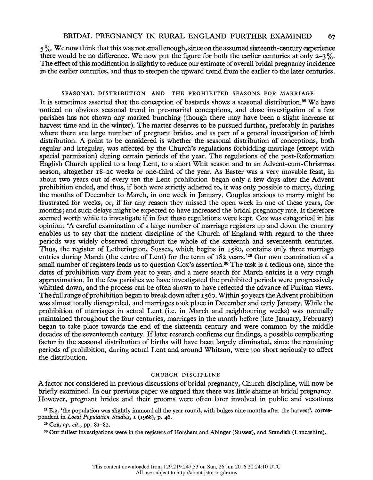$5\%$ . We now think that this was not small enough, since on the assumed sixteenth-century experience there would be no difference. We now put the figure for both the earlier centuries at only  $2-3\%$ . The effect of this modification is slightly to reduce our estimate of overall bridal pregnancy incidence in the earlier centuries, and thus to steepen the upward trend from the earlier to the later centuries.

# SEASONAL DISTRIBUTION AND THE PROHIBITED SEASONS FOR MARRIAGE

It is sometimes asserted that the conception of bastards shows a seasonal distribution.<sup>28</sup> We have noticed no obvious seasonal trend in pre-marital conceptions, and close investigation of a few parishes has not shown any marked bunching (though there may have been a slight increase at harvest time and in the winter). The matter deserves to be pursued further, preferably in parishes where there are large number of pregnant brides, and as part of a general investigation of birth distribution. A point to be considered is whether the seasonal distribution of conceptions, both regular and irregular, was affected by the Church's regulations forbidding marriage (except with special permission) during certain periods of the year. The regulations of the post-Reformation English Church applied to a long Lent, to a short Whit season and to an Advent-cum-Christmas season, altogether I8-20 weeks or one-third of the year. As Easter was a very movable feast, in about two years out of every ten the Lent prohibition began only a few days after the Advent prohibition ended, and thus, if both were strictly adhered to, it was only possible to marry, during the months of December to March, in one week in January. Couples anxious to marry might be frustrated for weeks, or, if for any reason they missed the open week in one of these years, for months; and such delays might be expected to have increased the bridal pregnancy rate. It therefore seemed worth while to investigate if in fact these regulations were kept. Cox was categorical in his opinion: 'A careful examination of a large number of marriage registers up and down the country enables us to say that the ancient discipline of the Church of England with regard to the three periods was widely observed throughout the whole of the sixteenth and seventeenth centuries. Thus, the register of Letherington, Sussex, which begins in I58o, contains only three marriage entries during March (the centre of Lent) for the term of I82 years.'29 Our own examination of a small number of registers leads us to question Cox's assertion.<sup>30</sup> The task is a tedious one, since the dates of prohibition vary from year to year, and a mere search for March entries is a very rough approximation. In the few parishes we have investigated the prohibited periods were progressively whittled down, and the process can be often shown to have reflected the advance of Puritan views. The full range of prohibition began to break down after 1560. Within 50 years the Advent prohibition was almost totally disregarded, and marriages took place in December and early January. While the prohibition of marriages in actual Lent (i.e. in March and neighbouring weeks) was normally maintained throughout the four centuries, marriages in the month before (late January, February) began to take place towards the end of the sixteenth century and were common by the middle decades of the seventeenth century. If later research confirms our findings, a possible complicating factor in the seasonal distribution of births will have been largely eliminated, since the remaining periods of prohibition, during actual Lent and around Whitsun, were too short seriously to affect the distribution.

#### CHURCH DISCIPLINE

 A factor not considered in previous discussions of bridal pregnancy, Church discipline, will now be briefly examined. In our previous paper we argued that there was little shame at bridal pregnancy. However, pregnant brides and their grooms were often later involved in public and vexatious

<sup>28</sup> E.g. 'the population was slightly immoral all the year round, with bulges nine months after the harvest', correspondent in Local Population Studies,  $I(1968)$ , p. 46.

29 COX, op. cit., pp. 8I-82.

30 Our fullest investigations were in the registers of Horsham and Abinger (Sussex), and Standish (Lancashire).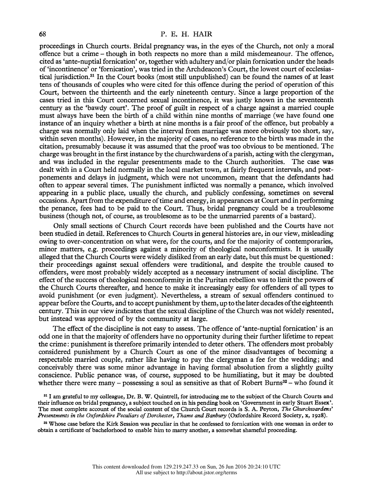proceedings in Church courts. Bridal pregnancy was, in the eyes of the Church, not only a moral offence but a crime - though in both respects no more than a mild misdemeanour. The offence, cited as 'ante-nuptial fornication' or, together with adultery and/or plain fornication under the heads of 'incontinence' or 'fornication', was tried in the Archdeacon's Court, the lowest court of ecclesias tical jurisdiction.3' In the Court books (most still unpublished) can be found the names of at least tens of thousands of couples who were cited for this offence during the period of operation of this Court, between the thirteenth and the early nineteenth century. Since a large proportion of the cases tried in this Court concerned sexual incontinence, it was justly known in the seventeenth century as the 'bawdy court'. The proof of guilt in respect of a charge against a married couple must always have been the birth of a child within nine months of marriage (we have found one instance of an inquiry whether a birth at nine months is a fair proof of the offence, but probably a charge was normally only laid when the interval from marriage was more obviously too short, say, within seven months). However, in the majority of cases, no reference to the birth was made in the citation, presumably because it was assumed that the proof was too obvious to be mentioned. The charge was brought in the first instance by the churchwardens of a parish, acting with the clergyman, and was included in the regular presentments made to the Church authorities. The case was dealt with in a Court held normally in the local market town, at fairly frequent intervals, and post ponements and delays in judgment, which were not uncommon, meant that the defendants had often to appear several times. The punishment inflicted was normally a penance, which involved appearing in a public place, usually the church, and publicly confessing, sometimes on several occasions. Apart from the expenditure of time and energy, in appearances at Court and in performing the penance, fees had to be paid to the Court. Thus, bridal pregnancy could be a troublesome business (though not, of course, as troublesome as to be the unmarried parents of a bastard).

 Only small sections of Church Court records have been published and the Courts have not been studied in detail. References to Church Courts in general histories are, in our view, misleading owing to over-concentration on what were, for the courts, and for the majority of contemporaries, minor matters, e.g. proceedings against a minority of theological nonconformists. It is usually alleged that the Church Courts were widely disliked from an early date, but this must be questioned: their proceedings against sexual offenders were traditional, and despite the trouble caused to offenders, were most probably widely accepted as a necessary instrument of social discipline. The effect of the success of theological nonconformity in the Puritan rebellion was to limit the powers of the Church Courts thereafter, and hence to make it increasingly easy for offenders of all types to avoid punishment (or even judgment). Nevertheless, a stream of sexual offenders continued to appear before the Courts, and to accept punishment by them, up to the later decades ofthe eighteenth century. This in our view indicates that the sexual discipline of the Church was not widely resented, but instead was approved of by the community at large.

 The effect of the discipline is not easy to assess. The offence of 'ante-nuptial fornication' is an odd one in that the majority of offenders have no opportunity during their further lifetime to repeat the crime: punishment is therefore primarily intended to deter others. The offenders most probably considered punishment by a Church Court as one of the minor disadvantages of becoming a respectable married couple, rather like having to pay the clergyman a fee for the wedding; and conceivably there was some minor advantage in having formal absolution from a slightly guilty conscience. Public penance was, of course, supposed to be humiliating, but it may be doubted whether there were many – possessing a soul as sensitive as that of Robert Burns $32$  – who found it

<sup>32</sup> Whose case before the Kirk Session was peculiar in that he confessed to fornication with one woman in order to obtain a certificate of bachelorhood to enable him to marry another, a somewhat shameful proceeding.

<sup>&</sup>lt;sup>31</sup> I am grateful to my colleague, Dr. B. W. Quintrell, for introducing me to the subject of the Church Courts and their influence on bridal pregnancy, a subject touched on in his pending book on 'Government in early Stuart Essex'. The most complete account of the social content of the Church Court records is S. A. Peyton, The Churchwardens' Presentments in the Oxfordshire Peculiars of Dorchester, Thame and Banbury (Oxfordshire Record Society, x, 1928).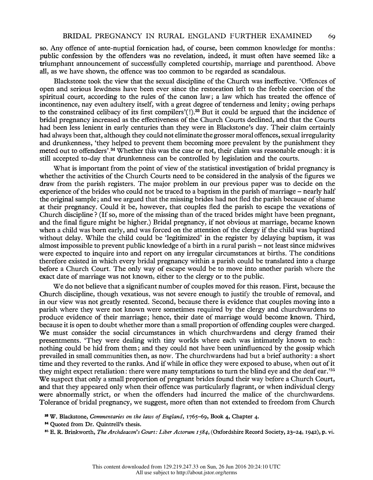so. Any offence of ante-nuptial fornication had, of course, been common knowledge for months: public confession by the offenders was no revelation, indeed, it must often have seemed like a triumphant announcement of successfully completed courtship, marriage and parenthood. Above all, as we have shown, the offence was too common to be regarded as scandalous.

 Blackstone took the view that the sexual discipline of the Church was ineffective. 'Offences of open and serious lewdness have been ever since the restoration left to the feeble coercion of the spiritual court, according to the rules of the canon law; a law which has treated the offence of incontinence, nay even adultery itself, with a great degree of tenderness and lenity; owing perhaps to the constrained celibacy of its first compilers'( !).33 But it could be argued that the incidence of bridal pregnancy increased as the effectiveness of the Church Courts declined, and that the Courts had been less lenient in early centuries than they were in Blackstone's day. Their claim certainly had always been that, although they could not eliminate the grosser moral offences, sexual irregularity and drunkenness, 'they helped to prevent them becoming more prevalent by the punishment they meted out to offenders'.<sup>34</sup> Whether this was the case or not, their claim was reasonable enough: it is still accepted to-day that drunkenness can be controlled by legislation and the courts.

 What is important from the point of view of the statistical investigation of bridal pregnancy is whether the activities of the Church Courts need to be considered in the analysis of the figures we draw from the parish registers. The major problem in our previous paper was to decide on the experience of the brides who could not be traced to a baptism in the parish of marriage – nearly half the original sample; and we argued that the missing brides had not fled the parish because of shame at their pregnancy. Could it be, however, that couples fled the parish to escape the vexations of Church discipline ? (If so, more of the missing than of the traced brides might have been pregnant, and the final figure might be higher.) Bridal pregnancy, if not obvious at marriage, became known when a child was born early, and was forced on the attention of the clergy if the child was baptized without delay. While the child could be 'legitimized' in the register by delaying baptism, it was almost impossible to prevent public knowledge of a birth in a rural parish - not least since midwives were expected to inquire into and report on any irregular circumstances at births. The conditions therefore existed in which every bridal pregnancy within a parish could be translated into a charge before a Church Court. The only way of escape would be to move into another parish where the exact date of marriage was not known, either to the clergy or to the public.

 We do not believe that a significant number of couples moved for this reason. First, because the Church discipline, though vexatious, was not severe enough to justify the trouble of removal, and in our view was not greatly resented. Second, because there is evidence that couples moving into a parish where they were not known were sometimes required by the clergy and churchwardens to produce evidence of their marriage; hence, their date of marriage would become known. Third, because it is open to doubt whether more than a small proportion of offending couples were charged. We must consider the social circumstances in which churchwardens and clergy framed their presentments. 'They were dealing with tiny worlds where each was intimately known to each: nothing could be hid from them; and they could not have been uninfluenced by the gossip which prevailed in small communities then, as now. The churchwardens had but a brief authority: a short time and they reverted to the ranks. And if while in office they were exposed to abuse, when out of it they might expect retaliation: there were many temptations to turn the blind eye and the deaf ear.'35 We suspect that only a small proportion of pregnant brides found their way before a Church Court, and that they appeared only when their offence was particularly flagrant, or when individual clergy were abnormally strict, or when the offenders had incurred the malice of the churchwardens. Tolerance of bridal pregnancy, we suggest, more often than not extended to freedom from Church

<sup>&</sup>lt;sup>38</sup> W. Blackstone, *Commentaries on the laws of England*, 1765-69, Book 4, Chapter 4.

 <sup>84</sup> Quoted from Dr. Quintrell's thesis.

 <sup>35</sup> E. R. Brinkworth, The Archdeacon's Court: Liber Actorum I584, (Oxfordshire Record Society, 23-24, I942), p. Vi.